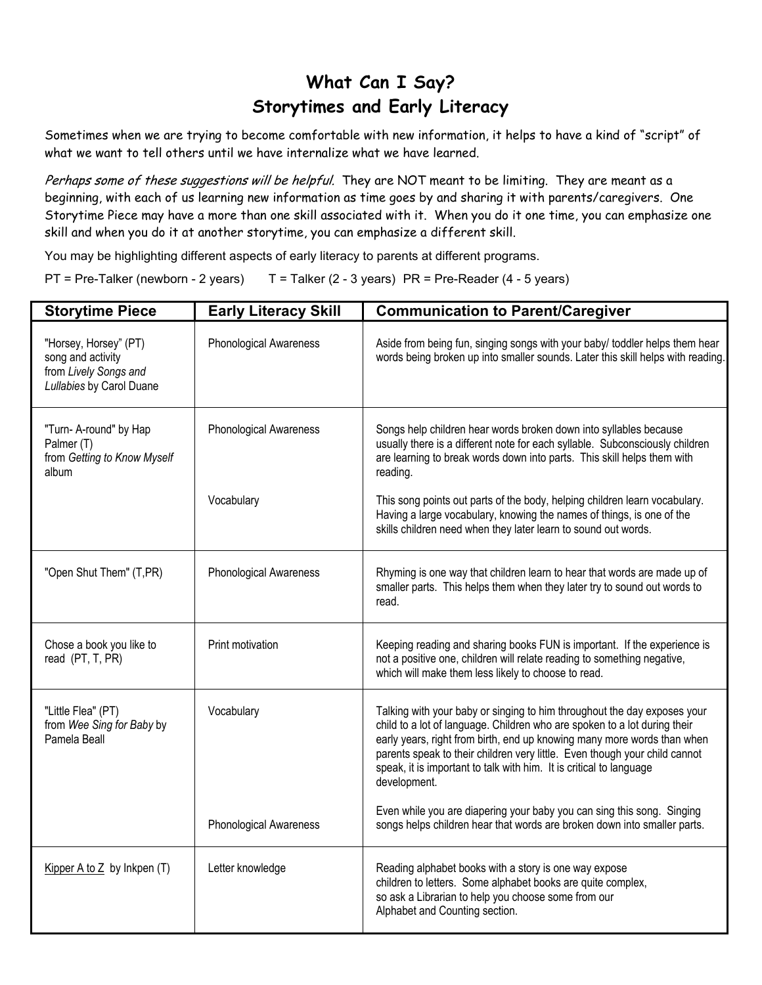## **What Can I Say? Storytimes and Early Literacy**

Sometimes when we are trying to become comfortable with new information, it helps to have a kind of "script" of what we want to tell others until we have internalize what we have learned.

Perhaps some of these suggestions will be helpful. They are NOT meant to be limiting. They are meant as a beginning, with each of us learning new information as time goes by and sharing it with parents/caregivers. One Storytime Piece may have a more than one skill associated with it. When you do it one time, you can emphasize one skill and when you do it at another storytime, you can emphasize a different skill.

You may be highlighting different aspects of early literacy to parents at different programs.

 $PT$  = Pre-Talker (newborn - 2 years)  $T =$  Talker (2 - 3 years) PR = Pre-Reader (4 - 5 years)

| <b>Storytime Piece</b>                                                                          | <b>Early Literacy Skill</b>   | <b>Communication to Parent/Caregiver</b>                                                                                                                                                                                                                                                                                                                                                              |
|-------------------------------------------------------------------------------------------------|-------------------------------|-------------------------------------------------------------------------------------------------------------------------------------------------------------------------------------------------------------------------------------------------------------------------------------------------------------------------------------------------------------------------------------------------------|
| "Horsey, Horsey" (PT)<br>song and activity<br>from Lively Songs and<br>Lullabies by Carol Duane | <b>Phonological Awareness</b> | Aside from being fun, singing songs with your baby/ toddler helps them hear<br>words being broken up into smaller sounds. Later this skill helps with reading.                                                                                                                                                                                                                                        |
| "Turn- A-round" by Hap<br>Palmer (T)<br>from Getting to Know Myself<br>album                    | <b>Phonological Awareness</b> | Songs help children hear words broken down into syllables because<br>usually there is a different note for each syllable. Subconsciously children<br>are learning to break words down into parts. This skill helps them with<br>reading.                                                                                                                                                              |
|                                                                                                 | Vocabulary                    | This song points out parts of the body, helping children learn vocabulary.<br>Having a large vocabulary, knowing the names of things, is one of the<br>skills children need when they later learn to sound out words.                                                                                                                                                                                 |
| "Open Shut Them" (T,PR)                                                                         | <b>Phonological Awareness</b> | Rhyming is one way that children learn to hear that words are made up of<br>smaller parts. This helps them when they later try to sound out words to<br>read.                                                                                                                                                                                                                                         |
| Chose a book you like to<br>read (PT, T, PR)                                                    | Print motivation              | Keeping reading and sharing books FUN is important. If the experience is<br>not a positive one, children will relate reading to something negative,<br>which will make them less likely to choose to read.                                                                                                                                                                                            |
| "Little Flea" (PT)<br>from Wee Sing for Baby by<br>Pamela Beall                                 | Vocabulary                    | Talking with your baby or singing to him throughout the day exposes your<br>child to a lot of language. Children who are spoken to a lot during their<br>early years, right from birth, end up knowing many more words than when<br>parents speak to their children very little. Even though your child cannot<br>speak, it is important to talk with him. It is critical to language<br>development. |
|                                                                                                 | Phonological Awareness        | Even while you are diapering your baby you can sing this song. Singing<br>songs helps children hear that words are broken down into smaller parts.                                                                                                                                                                                                                                                    |
| Kipper A to $Z$ by Inkpen (T)                                                                   | Letter knowledge              | Reading alphabet books with a story is one way expose<br>children to letters. Some alphabet books are quite complex,<br>so ask a Librarian to help you choose some from our<br>Alphabet and Counting section.                                                                                                                                                                                         |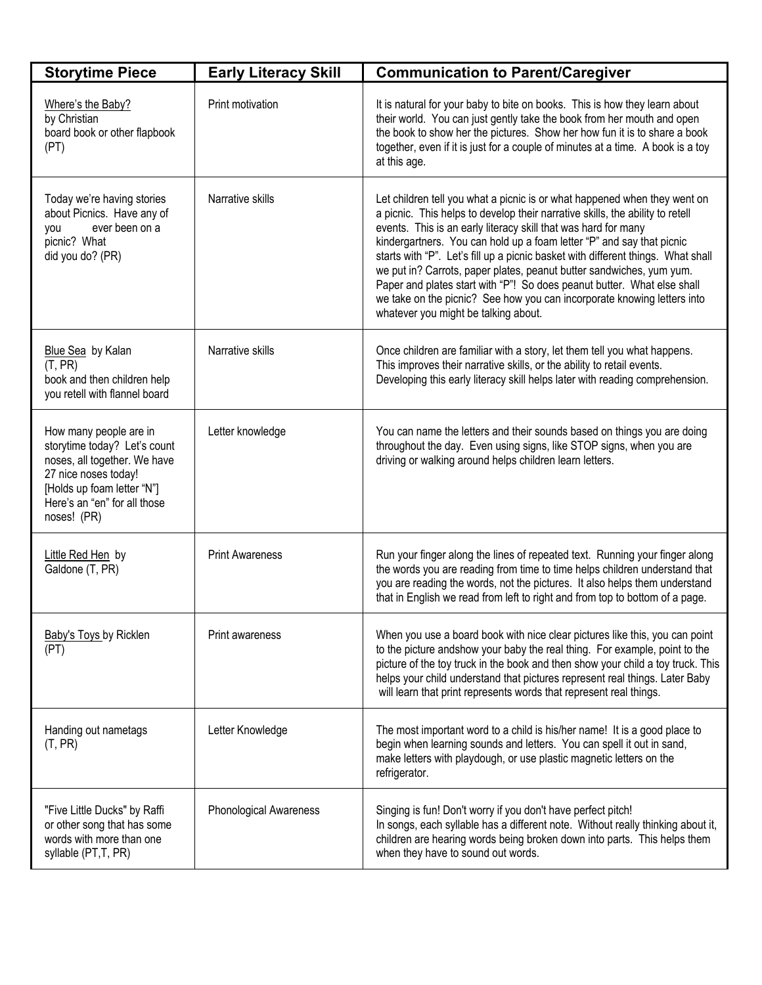| <b>Storytime Piece</b>                                                                                                                                                                      | <b>Early Literacy Skill</b>   | <b>Communication to Parent/Caregiver</b>                                                                                                                                                                                                                                                                                                                                                                                                                                                                                                                                                                                                                        |
|---------------------------------------------------------------------------------------------------------------------------------------------------------------------------------------------|-------------------------------|-----------------------------------------------------------------------------------------------------------------------------------------------------------------------------------------------------------------------------------------------------------------------------------------------------------------------------------------------------------------------------------------------------------------------------------------------------------------------------------------------------------------------------------------------------------------------------------------------------------------------------------------------------------------|
| Where's the Baby?<br>by Christian<br>board book or other flapbook<br>(PT)                                                                                                                   | Print motivation              | It is natural for your baby to bite on books. This is how they learn about<br>their world. You can just gently take the book from her mouth and open<br>the book to show her the pictures. Show her how fun it is to share a book<br>together, even if it is just for a couple of minutes at a time. A book is a toy<br>at this age.                                                                                                                                                                                                                                                                                                                            |
| Today we're having stories<br>about Picnics. Have any of<br>ever been on a<br>you<br>picnic? What<br>did you do? (PR)                                                                       | Narrative skills              | Let children tell you what a picnic is or what happened when they went on<br>a picnic. This helps to develop their narrative skills, the ability to retell<br>events. This is an early literacy skill that was hard for many<br>kindergartners. You can hold up a foam letter "P" and say that picnic<br>starts with "P". Let's fill up a picnic basket with different things. What shall<br>we put in? Carrots, paper plates, peanut butter sandwiches, yum yum.<br>Paper and plates start with "P"! So does peanut butter. What else shall<br>we take on the picnic? See how you can incorporate knowing letters into<br>whatever you might be talking about. |
| Blue Sea by Kalan<br>(T, PR)<br>book and then children help<br>you retell with flannel board                                                                                                | Narrative skills              | Once children are familiar with a story, let them tell you what happens.<br>This improves their narrative skills, or the ability to retail events.<br>Developing this early literacy skill helps later with reading comprehension.                                                                                                                                                                                                                                                                                                                                                                                                                              |
| How many people are in<br>storytime today? Let's count<br>noses, all together. We have<br>27 nice noses today!<br>[Holds up foam letter "N"]<br>Here's an "en" for all those<br>noses! (PR) | Letter knowledge              | You can name the letters and their sounds based on things you are doing<br>throughout the day. Even using signs, like STOP signs, when you are<br>driving or walking around helps children learn letters.                                                                                                                                                                                                                                                                                                                                                                                                                                                       |
| Little Red Hen by<br>Galdone (T, PR)                                                                                                                                                        | <b>Print Awareness</b>        | Run your finger along the lines of repeated text. Running your finger along<br>the words you are reading from time to time helps children understand that<br>you are reading the words, not the pictures. It also helps them understand<br>that in English we read from left to right and from top to bottom of a page.                                                                                                                                                                                                                                                                                                                                         |
| <b>Baby's Toys by Ricklen</b><br>(PT)                                                                                                                                                       | Print awareness               | When you use a board book with nice clear pictures like this, you can point<br>to the picture andshow your baby the real thing. For example, point to the<br>picture of the toy truck in the book and then show your child a toy truck. This<br>helps your child understand that pictures represent real things. Later Baby<br>will learn that print represents words that represent real things.                                                                                                                                                                                                                                                               |
| Handing out nametags<br>(T, PR)                                                                                                                                                             | Letter Knowledge              | The most important word to a child is his/her name! It is a good place to<br>begin when learning sounds and letters. You can spell it out in sand,<br>make letters with playdough, or use plastic magnetic letters on the<br>refrigerator.                                                                                                                                                                                                                                                                                                                                                                                                                      |
| "Five Little Ducks" by Raffi<br>or other song that has some<br>words with more than one<br>syllable (PT, T, PR)                                                                             | <b>Phonological Awareness</b> | Singing is fun! Don't worry if you don't have perfect pitch!<br>In songs, each syllable has a different note. Without really thinking about it,<br>children are hearing words being broken down into parts. This helps them<br>when they have to sound out words.                                                                                                                                                                                                                                                                                                                                                                                               |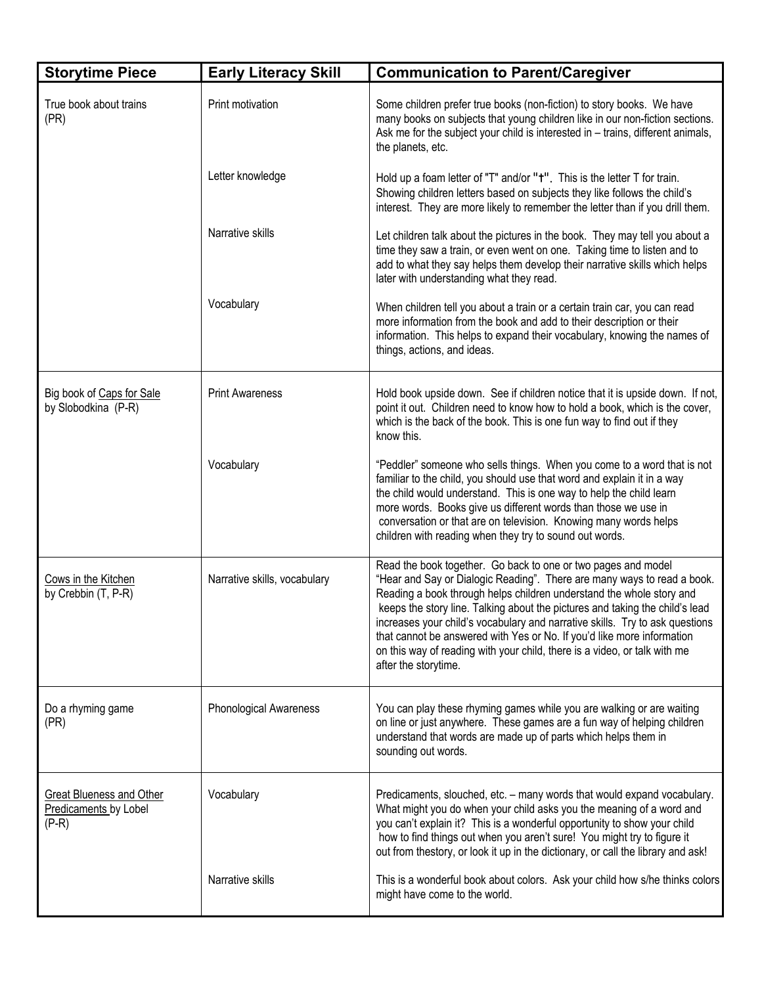| <b>Storytime Piece</b>                                              | <b>Early Literacy Skill</b>   | <b>Communication to Parent/Caregiver</b>                                                                                                                                                                                                                                                                                                                                                                                                                                                                                                                        |
|---------------------------------------------------------------------|-------------------------------|-----------------------------------------------------------------------------------------------------------------------------------------------------------------------------------------------------------------------------------------------------------------------------------------------------------------------------------------------------------------------------------------------------------------------------------------------------------------------------------------------------------------------------------------------------------------|
| True book about trains<br>(PR)                                      | Print motivation              | Some children prefer true books (non-fiction) to story books. We have<br>many books on subjects that young children like in our non-fiction sections.<br>Ask me for the subject your child is interested in - trains, different animals,<br>the planets, etc.                                                                                                                                                                                                                                                                                                   |
|                                                                     | Letter knowledge              | Hold up a foam letter of "T" and/or " <sup>+"</sup> . This is the letter T for train.<br>Showing children letters based on subjects they like follows the child's<br>interest. They are more likely to remember the letter than if you drill them.                                                                                                                                                                                                                                                                                                              |
|                                                                     | Narrative skills              | Let children talk about the pictures in the book. They may tell you about a<br>time they saw a train, or even went on one. Taking time to listen and to<br>add to what they say helps them develop their narrative skills which helps<br>later with understanding what they read.                                                                                                                                                                                                                                                                               |
|                                                                     | Vocabulary                    | When children tell you about a train or a certain train car, you can read<br>more information from the book and add to their description or their<br>information. This helps to expand their vocabulary, knowing the names of<br>things, actions, and ideas.                                                                                                                                                                                                                                                                                                    |
| Big book of Caps for Sale<br>by Slobodkina (P-R)                    | <b>Print Awareness</b>        | Hold book upside down. See if children notice that it is upside down. If not,<br>point it out. Children need to know how to hold a book, which is the cover,<br>which is the back of the book. This is one fun way to find out if they<br>know this.                                                                                                                                                                                                                                                                                                            |
|                                                                     | Vocabulary                    | "Peddler" someone who sells things. When you come to a word that is not<br>familiar to the child, you should use that word and explain it in a way<br>the child would understand. This is one way to help the child learn<br>more words. Books give us different words than those we use in<br>conversation or that are on television. Knowing many words helps<br>children with reading when they try to sound out words.                                                                                                                                      |
| Cows in the Kitchen<br>by Crebbin (T, P-R)                          | Narrative skills, vocabulary  | Read the book together. Go back to one or two pages and model<br>"Hear and Say or Dialogic Reading". There are many ways to read a book.<br>Reading a book through helps children understand the whole story and<br>keeps the story line. Talking about the pictures and taking the child's lead<br>increases your child's vocabulary and narrative skills. Try to ask questions<br>that cannot be answered with Yes or No. If you'd like more information<br>on this way of reading with your child, there is a video, or talk with me<br>after the storytime. |
| Do a rhyming game<br>(PR)                                           | <b>Phonological Awareness</b> | You can play these rhyming games while you are walking or are waiting<br>on line or just anywhere. These games are a fun way of helping children<br>understand that words are made up of parts which helps them in<br>sounding out words.                                                                                                                                                                                                                                                                                                                       |
| <b>Great Blueness and Other</b><br>Predicaments by Lobel<br>$(P-R)$ | Vocabulary                    | Predicaments, slouched, etc. - many words that would expand vocabulary.<br>What might you do when your child asks you the meaning of a word and<br>you can't explain it? This is a wonderful opportunity to show your child<br>how to find things out when you aren't sure! You might try to figure it<br>out from thestory, or look it up in the dictionary, or call the library and ask!                                                                                                                                                                      |
|                                                                     | Narrative skills              | This is a wonderful book about colors. Ask your child how s/he thinks colors<br>might have come to the world.                                                                                                                                                                                                                                                                                                                                                                                                                                                   |